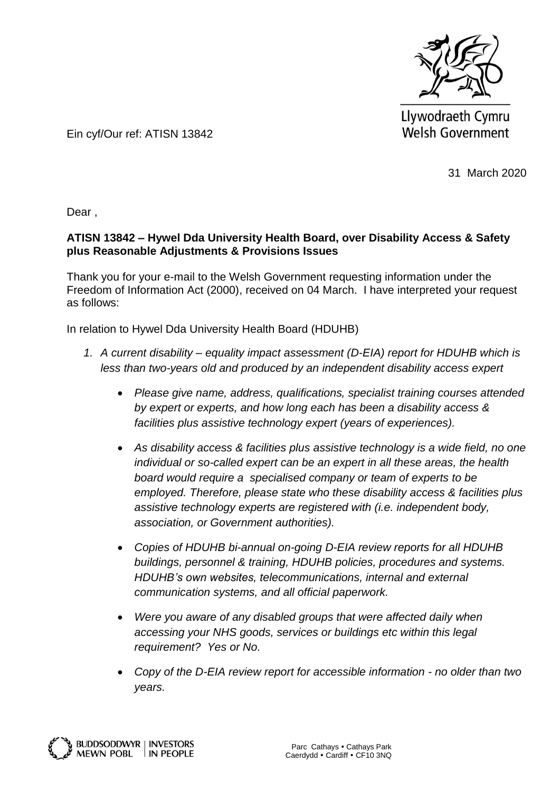

Llywodraeth Cymru **Welsh Government** 

Ein cyf/Our ref: ATISN 13842

31 March 2020

Dear ,

## **ATISN 13842 – Hywel Dda University Health Board, over Disability Access & Safety plus Reasonable Adjustments & Provisions Issues**

Thank you for your e-mail to the Welsh Government requesting information under the Freedom of Information Act (2000), received on 04 March. I have interpreted your request as follows:

In relation to Hywel Dda University Health Board (HDUHB)

- *1. A current disability – equality impact assessment (D-EIA) report for HDUHB which is less than two-years old and produced by an independent disability access expert* 
	- *Please give name, address, qualifications, specialist training courses attended by expert or experts, and how long each has been a disability access & facilities plus assistive technology expert (years of experiences).*
	- *As disability access & facilities plus assistive technology is a wide field, no one individual or so-called expert can be an expert in all these areas, the health board would require a specialised company or team of experts to be employed. Therefore, please state who these disability access & facilities plus assistive technology experts are registered with (i.e. independent body, association, or Government authorities).*
	- *Copies of HDUHB bi-annual on-going D-EIA review reports for all HDUHB buildings, personnel & training, HDUHB policies, procedures and systems. HDUHB's own websites, telecommunications, internal and external communication systems, and all official paperwork.*
	- *Were you aware of any disabled groups that were affected daily when accessing your NHS goods, services or buildings etc within this legal requirement? Yes or No.*
	- *Copy of the D-EIA review report for accessible information - no older than two years.*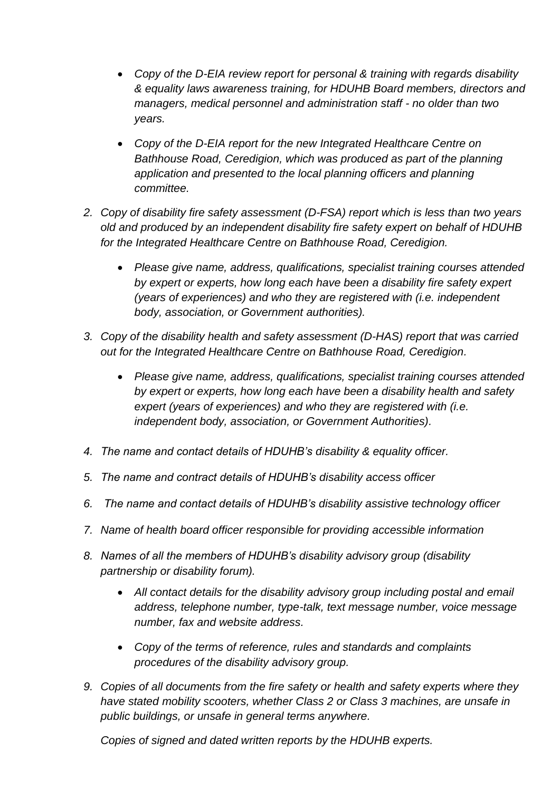- *Copy of the D-EIA review report for personal & training with regards disability & equality laws awareness training, for HDUHB Board members, directors and managers, medical personnel and administration staff - no older than two years.*
- *Copy of the D-EIA report for the new Integrated Healthcare Centre on Bathhouse Road, Ceredigion, which was produced as part of the planning application and presented to the local planning officers and planning committee.*
- *2. Copy of disability fire safety assessment (D-FSA) report which is less than two years old and produced by an independent disability fire safety expert on behalf of HDUHB for the Integrated Healthcare Centre on Bathhouse Road, Ceredigion.*
	- *Please give name, address, qualifications, specialist training courses attended by expert or experts, how long each have been a disability fire safety expert (years of experiences) and who they are registered with (i.e. independent body, association, or Government authorities).*
- *3. Copy of the disability health and safety assessment (D-HAS) report that was carried out for the Integrated Healthcare Centre on Bathhouse Road, Ceredigion.*
	- *Please give name, address, qualifications, specialist training courses attended by expert or experts, how long each have been a disability health and safety expert (years of experiences) and who they are registered with (i.e. independent body, association, or Government Authorities).*
- *4. The name and contact details of HDUHB's disability & equality officer.*
- *5. The name and contract details of HDUHB's disability access officer*
- *6. The name and contact details of HDUHB's disability assistive technology officer*
- *7. Name of health board officer responsible for providing accessible information*
- *8. Names of all the members of HDUHB's disability advisory group (disability partnership or disability forum).*
	- *All contact details for the disability advisory group including postal and email address, telephone number, type-talk, text message number, voice message number, fax and website address.*
	- *Copy of the terms of reference, rules and standards and complaints procedures of the disability advisory group.*
- *9. Copies of all documents from the fire safety or health and safety experts where they have stated mobility scooters, whether Class 2 or Class 3 machines, are unsafe in public buildings, or unsafe in general terms anywhere.*

*Copies of signed and dated written reports by the HDUHB experts.*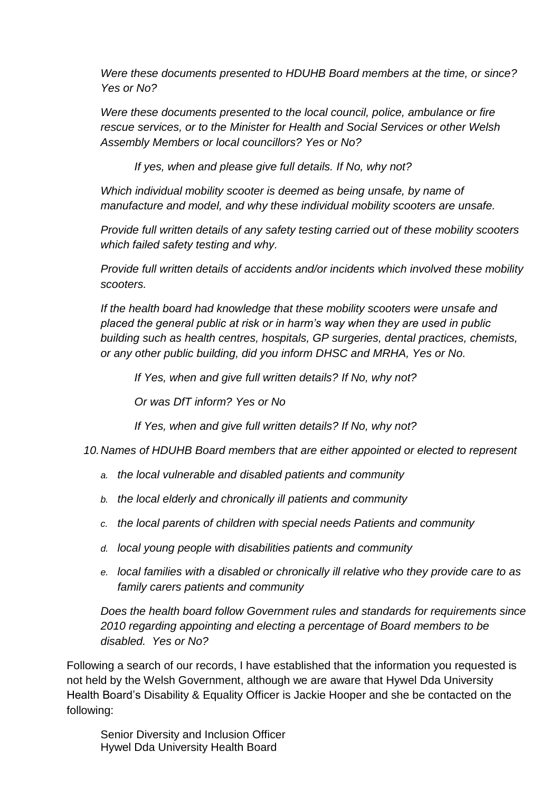*Were these documents presented to HDUHB Board members at the time, or since? Yes or No?*

*Were these documents presented to the local council, police, ambulance or fire rescue services, or to the Minister for Health and Social Services or other Welsh Assembly Members or local councillors? Yes or No?*

*If yes, when and please give full details. If No, why not?*

*Which individual mobility scooter is deemed as being unsafe, by name of manufacture and model, and why these individual mobility scooters are unsafe.* 

*Provide full written details of any safety testing carried out of these mobility scooters which failed safety testing and why.*

*Provide full written details of accidents and/or incidents which involved these mobility scooters.*

*If the health board had knowledge that these mobility scooters were unsafe and placed the general public at risk or in harm's way when they are used in public building such as health centres, hospitals, GP surgeries, dental practices, chemists, or any other public building, did you inform DHSC and MRHA, Yes or No.*

*If Yes, when and give full written details? If No, why not?*

*Or was DfT inform? Yes or No*

*If Yes, when and give full written details? If No, why not?*

*10.Names of HDUHB Board members that are either appointed or elected to represent* 

- *a. the local vulnerable and disabled patients and community*
- *b. the local elderly and chronically ill patients and community*
- *c. the local parents of children with special needs Patients and community*
- *d. local young people with disabilities patients and community*
- *e. local families with a disabled or chronically ill relative who they provide care to as family carers patients and community*

*Does the health board follow Government rules and standards for requirements since 2010 regarding appointing and electing a percentage of Board members to be disabled. Yes or No?*

Following a search of our records, I have established that the information you requested is not held by the Welsh Government, although we are aware that Hywel Dda University Health Board's Disability & Equality Officer is Jackie Hooper and she be contacted on the following:

Senior Diversity and Inclusion Officer Hywel Dda University Health Board